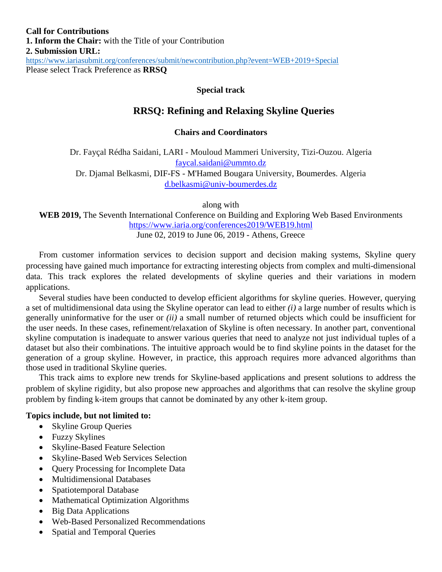#### **Special track**

# **RRSQ: Refining and Relaxing Skyline Queries**

#### **Chairs and Coordinators**

Dr. Fayçal Rédha Saidani, LARI - Mouloud Mammeri University, Tizi-Ouzou. Algeria [faycal.saidani@ummto.dz](mailto:faycal.saidani@ummto.dz)

Dr. Djamal Belkasmi, DIF-FS - M'Hamed Bougara University, Boumerdes. Algeria [d.belkasmi@univ-boumerdes.dz](mailto:d.belkasmi@univ-boumerdes.dz)

along with

**WEB 2019,** The Seventh International Conference on Building and Exploring Web Based Environments <https://www.iaria.org/conferences2019/WEB19.html>

June 02, 2019 to June 06, 2019 - Athens, Greece

From customer information services to decision support and decision making systems, Skyline query processing have gained much importance for extracting interesting objects from complex and multi-dimensional data. This track explores the related developments of skyline queries and their variations in modern applications.

Several studies have been conducted to develop efficient algorithms for skyline queries. However, querying a set of multidimensional data using the Skyline operator can lead to either *(i)* a large number of results which is generally uninformative for the user or *(ii)* a small number of returned objects which could be insufficient for the user needs. In these cases, refinement/relaxation of Skyline is often necessary. In another part, conventional skyline computation is inadequate to answer various queries that need to analyze not just individual tuples of a dataset but also their combinations. The intuitive approach would be to find skyline points in the dataset for the generation of a group skyline. However, in practice, this approach requires more advanced algorithms than those used in traditional Skyline queries.

This track aims to explore new trends for Skyline-based applications and present solutions to address the problem of skyline rigidity, but also propose new approaches and algorithms that can resolve the skyline group problem by finding k-item groups that cannot be dominated by any other k-item group.

#### **Topics include, but not limited to:**

- Skyline Group Queries
- Fuzzy Skylines
- Skyline-Based Feature Selection
- Skyline-Based Web Services Selection
- Query Processing for Incomplete Data
- Multidimensional Databases
- Spatiotemporal Database
- Mathematical Optimization Algorithms
- Big Data Applications
- Web-Based Personalized Recommendations
- Spatial and Temporal Queries